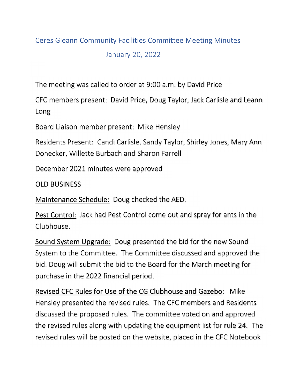## Ceres Gleann Community Facilities Committee Meeting Minutes

January 20, 2022

The meeting was called to order at 9:00 a.m. by David Price

CFC members present: David Price, Doug Taylor, Jack Carlisle and Leann Long

Board Liaison member present: Mike Hensley

Residents Present: Candi Carlisle, Sandy Taylor, Shirley Jones, Mary Ann Donecker, Willette Burbach and Sharon Farrell

December 2021 minutes were approved

## OLD BUSINESS

Maintenance Schedule: Doug checked the AED.

Pest Control: Jack had Pest Control come out and spray for ants in the Clubhouse.

Sound System Upgrade: Doug presented the bid for the new Sound System to the Committee. The Committee discussed and approved the bid. Doug will submit the bid to the Board for the March meeting for purchase in the 2022 financial period.

Revised CFC Rules for Use of the CG Clubhouse and Gazebo: Mike Hensley presented the revised rules. The CFC members and Residents discussed the proposed rules. The committee voted on and approved the revised rules along with updating the equipment list for rule 24. The revised rules will be posted on the website, placed in the CFC Notebook